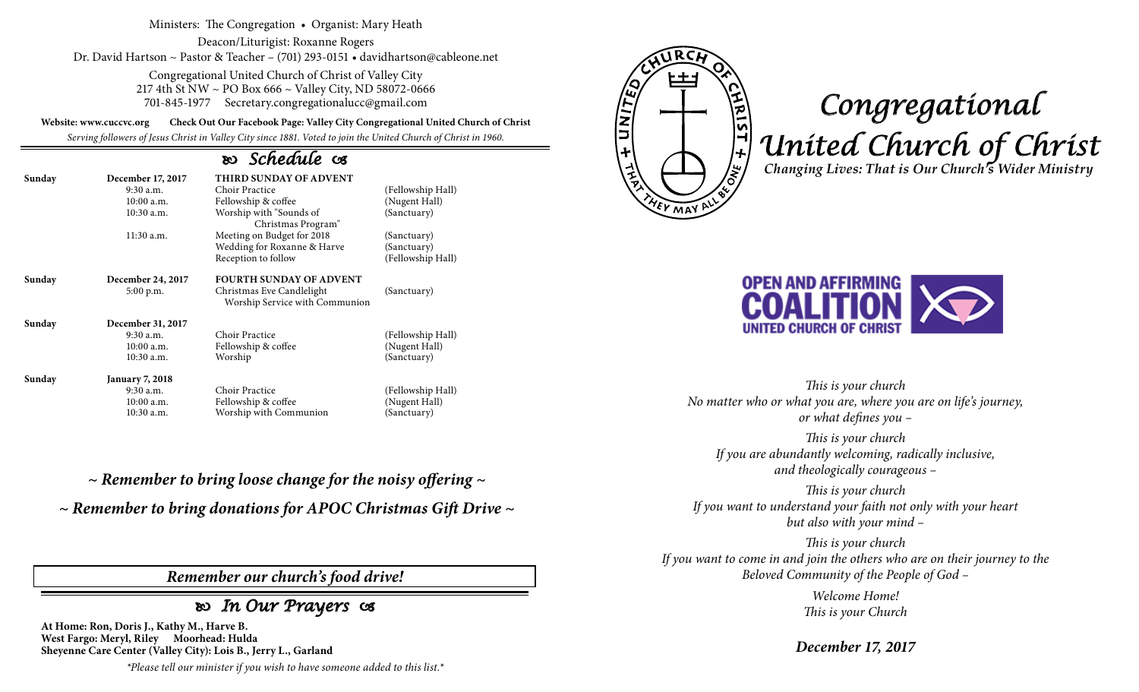Ministers: The Congregation • Organist: Mary Heath

Deacon/Liturigist: Roxanne Rogers Dr. David Hartson ~ Pastor & Teacher – (701) 293-0151 • davidhartson@cableone.net

> Congregational United Church of Christ of Valley City 217 4th St NW ~ PO Box 666 ~ Valley City, ND 58072-0666 701-845-1977 Secretary.congregationalucc@gmail.com

**Website: www.cuccvc.org Check Out Our Facebook Page: Valley City Congregational United Church of Christ**

*Serving followers of Jesus Christ in Valley City since 1881. Voted to join the United Church of Christ in 1960.*

## *Schedule*

| Sunday | December 17, 2017      | <b>THIRD SUNDAY OF ADVENT</b>                               |                   |  |
|--------|------------------------|-------------------------------------------------------------|-------------------|--|
|        | $9:30$ a.m.            | Choir Practice                                              | (Fellowship Hall) |  |
|        | $10:00$ a.m.           | Fellowship & coffee                                         | (Nugent Hall)     |  |
|        | 10:30 a.m.             | Worship with "Sounds of<br>Christmas Program"               | (Sanctuary)       |  |
|        | 11:30 a.m.             | Meeting on Budget for 2018                                  | (Sanctuary)       |  |
|        |                        | Wedding for Roxanne & Harve                                 | (Sanctuary)       |  |
|        |                        | Reception to follow                                         | (Fellowship Hall) |  |
| Sunday | December 24, 2017      | <b>FOURTH SUNDAY OF ADVENT</b>                              |                   |  |
|        | 5:00 p.m.              | Christmas Eve Candlelight<br>Worship Service with Communion | (Sanctuary)       |  |
| Sunday | December 31, 2017      |                                                             |                   |  |
|        | 9:30 a.m.              | Choir Practice                                              | (Fellowship Hall) |  |
|        | $10:00$ a.m.           | Fellowship & coffee                                         | (Nugent Hall)     |  |
|        | 10:30 a.m.             | Worship                                                     | (Sanctuary)       |  |
| Sunday | <b>January 7, 2018</b> |                                                             |                   |  |
|        | $9:30$ a.m.            | Choir Practice                                              | (Fellowship Hall) |  |
|        | 10:00 a.m.             | Fellowship & coffee                                         | (Nugent Hall)     |  |
|        | 10:30 a.m.             | Worship with Communion                                      | (Sanctuary)       |  |

*~ Remember to bring loose change for the noisy offering ~*

*~ Remember to bring donations for APOC Christmas Gift Drive ~*

*Remember our church's food drive!*

## *In Our Prayers*

**At Home: Ron, Doris J., Kathy M., Harve B. West Fargo: Meryl, Riley Moorhead: Hulda Sheyenne Care Center (Valley City): Lois B., Jerry L., Garland**

*\*Please tell our minister if you wish to have someone added to this list.\**



# *Congregational United Church of Christ Changing Lives: That is Our Church's Wider Ministry*



*This is your church No matter who or what you are, where you are on life's journey, or what defines you –*

*This is your church If you are abundantly welcoming, radically inclusive, and theologically courageous –*

*This is your church If you want to understand your faith not only with your heart but also with your mind –*

*This is your church If you want to come in and join the others who are on their journey to the Beloved Community of the People of God –*

> *Welcome Home! This is your Church*

*December 17, 2017*